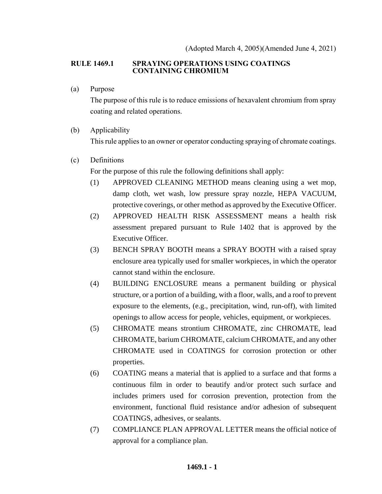### **RULE 1469.1 SPRAYING OPERATIONS USING COATINGS CONTAINING CHROMIUM**

(a) Purpose

The purpose of this rule is to reduce emissions of hexavalent chromium from spray coating and related operations.

### (b) Applicability

This rule applies to an owner or operator conducting spraying of chromate coatings.

(c) Definitions

For the purpose of this rule the following definitions shall apply:

- (1) APPROVED CLEANING METHOD means cleaning using a wet mop, damp cloth, wet wash, low pressure spray nozzle, HEPA VACUUM, protective coverings, or other method as approved by the Executive Officer.
- (2) APPROVED HEALTH RISK ASSESSMENT means a health risk assessment prepared pursuant to Rule 1402 that is approved by the Executive Officer.
- (3) BENCH SPRAY BOOTH means a SPRAY BOOTH with a raised spray enclosure area typically used for smaller workpieces, in which the operator cannot stand within the enclosure.
- (4) BUILDING ENCLOSURE means a permanent building or physical structure, or a portion of a building, with a floor, walls, and a roof to prevent exposure to the elements, (e.g., precipitation, wind, run-off), with limited openings to allow access for people, vehicles, equipment, or workpieces.
- (5) CHROMATE means strontium CHROMATE, zinc CHROMATE, lead CHROMATE, barium CHROMATE, calcium CHROMATE, and any other CHROMATE used in COATINGS for corrosion protection or other properties.
- (6) COATING means a material that is applied to a surface and that forms a continuous film in order to beautify and/or protect such surface and includes primers used for corrosion prevention, protection from the environment, functional fluid resistance and/or adhesion of subsequent COATINGS, adhesives, or sealants.
- (7) COMPLIANCE PLAN APPROVAL LETTER means the official notice of approval for a compliance plan.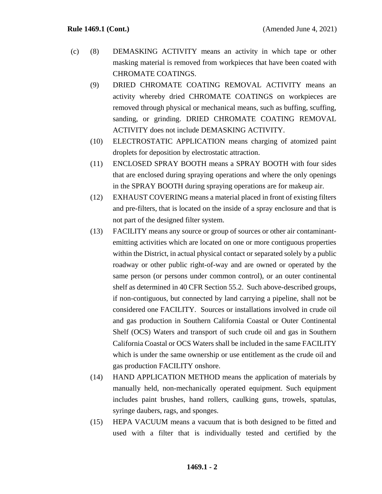- (c) (8) DEMASKING ACTIVITY means an activity in which tape or other masking material is removed from workpieces that have been coated with CHROMATE COATINGS.
	- (9) DRIED CHROMATE COATING REMOVAL ACTIVITY means an activity whereby dried CHROMATE COATINGS on workpieces are removed through physical or mechanical means, such as buffing, scuffing, sanding, or grinding. DRIED CHROMATE COATING REMOVAL ACTIVITY does not include DEMASKING ACTIVITY.
	- (10) ELECTROSTATIC APPLICATION means charging of atomized paint droplets for deposition by electrostatic attraction.
	- (11) ENCLOSED SPRAY BOOTH means a SPRAY BOOTH with four sides that are enclosed during spraying operations and where the only openings in the SPRAY BOOTH during spraying operations are for makeup air.
	- (12) EXHAUST COVERING means a material placed in front of existing filters and pre-filters, that is located on the inside of a spray enclosure and that is not part of the designed filter system.
	- (13) FACILITY means any source or group of sources or other air contaminantemitting activities which are located on one or more contiguous properties within the District, in actual physical contact or separated solely by a public roadway or other public right-of-way and are owned or operated by the same person (or persons under common control), or an outer continental shelf as determined in 40 CFR Section 55.2. Such above-described groups, if non-contiguous, but connected by land carrying a pipeline, shall not be considered one FACILITY. Sources or installations involved in crude oil and gas production in Southern California Coastal or Outer Continental Shelf (OCS) Waters and transport of such crude oil and gas in Southern California Coastal or OCS Waters shall be included in the same FACILITY which is under the same ownership or use entitlement as the crude oil and gas production FACILITY onshore.
	- (14) HAND APPLICATION METHOD means the application of materials by manually held, non-mechanically operated equipment. Such equipment includes paint brushes, hand rollers, caulking guns, trowels, spatulas, syringe daubers, rags, and sponges.
	- (15) HEPA VACUUM means a vacuum that is both designed to be fitted and used with a filter that is individually tested and certified by the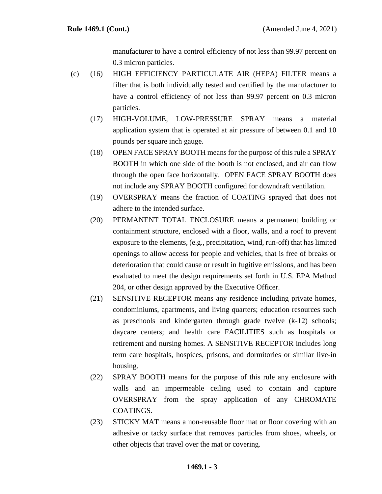manufacturer to have a control efficiency of not less than 99.97 percent on 0.3 micron particles.

- (c) (16) HIGH EFFICIENCY PARTICULATE AIR (HEPA) FILTER means a filter that is both individually tested and certified by the manufacturer to have a control efficiency of not less than 99.97 percent on 0.3 micron particles.
	- (17) HIGH-VOLUME, LOW-PRESSURE SPRAY means a material application system that is operated at air pressure of between 0.1 and 10 pounds per square inch gauge.
	- (18) OPEN FACE SPRAY BOOTH means for the purpose of this rule a SPRAY BOOTH in which one side of the booth is not enclosed, and air can flow through the open face horizontally. OPEN FACE SPRAY BOOTH does not include any SPRAY BOOTH configured for downdraft ventilation.
	- (19) OVERSPRAY means the fraction of COATING sprayed that does not adhere to the intended surface.
	- (20) PERMANENT TOTAL ENCLOSURE means a permanent building or containment structure, enclosed with a floor, walls, and a roof to prevent exposure to the elements, (e.g., precipitation, wind, run-off) that has limited openings to allow access for people and vehicles, that is free of breaks or deterioration that could cause or result in fugitive emissions, and has been evaluated to meet the design requirements set forth in U.S. EPA Method 204, or other design approved by the Executive Officer.
	- (21) SENSITIVE RECEPTOR means any residence including private homes, condominiums, apartments, and living quarters; education resources such as preschools and kindergarten through grade twelve (k-12) schools; daycare centers; and health care FACILITIES such as hospitals or retirement and nursing homes. A SENSITIVE RECEPTOR includes long term care hospitals, hospices, prisons, and dormitories or similar live-in housing.
	- (22) SPRAY BOOTH means for the purpose of this rule any enclosure with walls and an impermeable ceiling used to contain and capture OVERSPRAY from the spray application of any CHROMATE COATINGS.
	- (23) STICKY MAT means a non-reusable floor mat or floor covering with an adhesive or tacky surface that removes particles from shoes, wheels, or other objects that travel over the mat or covering.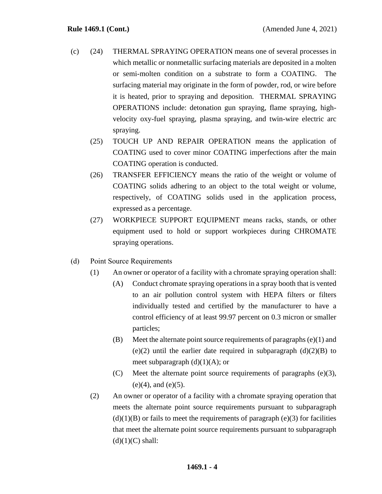- (c) (24) THERMAL SPRAYING OPERATION means one of several processes in which metallic or nonmetallic surfacing materials are deposited in a molten or semi-molten condition on a substrate to form a COATING. The surfacing material may originate in the form of powder, rod, or wire before it is heated, prior to spraying and deposition. THERMAL SPRAYING OPERATIONS include: detonation gun spraying, flame spraying, highvelocity oxy-fuel spraying, plasma spraying, and twin-wire electric arc spraying.
	- (25) TOUCH UP AND REPAIR OPERATION means the application of COATING used to cover minor COATING imperfections after the main COATING operation is conducted.
	- (26) TRANSFER EFFICIENCY means the ratio of the weight or volume of COATING solids adhering to an object to the total weight or volume, respectively, of COATING solids used in the application process, expressed as a percentage.
	- (27) WORKPIECE SUPPORT EQUIPMENT means racks, stands, or other equipment used to hold or support workpieces during CHROMATE spraying operations.
- (d) Point Source Requirements
	- (1) An owner or operator of a facility with a chromate spraying operation shall:
		- (A) Conduct chromate spraying operations in a spray booth that is vented to an air pollution control system with HEPA filters or filters individually tested and certified by the manufacturer to have a control efficiency of at least 99.97 percent on 0.3 micron or smaller particles;
		- (B) Meet the alternate point source requirements of paragraphs (e)(1) and (e)(2) until the earlier date required in subparagraph  $(d)(2)(B)$  to meet subparagraph  $(d)(1)(A)$ ; or
		- (C) Meet the alternate point source requirements of paragraphs (e)(3),  $(e)(4)$ , and  $(e)(5)$ .
	- (2) An owner or operator of a facility with a chromate spraying operation that meets the alternate point source requirements pursuant to subparagraph  $(d)(1)(B)$  or fails to meet the requirements of paragraph (e)(3) for facilities that meet the alternate point source requirements pursuant to subparagraph  $(d)(1)(C)$  shall: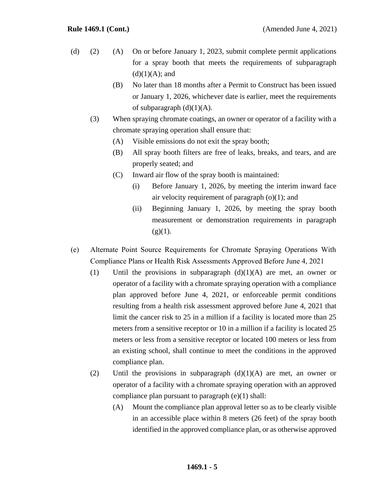- (d) (2) (A) On or before January 1, 2023, submit complete permit applications for a spray booth that meets the requirements of subparagraph  $(d)(1)(A)$ ; and
	- (B) No later than 18 months after a Permit to Construct has been issued or January 1, 2026, whichever date is earlier, meet the requirements of subparagraph  $(d)(1)(A)$ .
	- (3) When spraying chromate coatings, an owner or operator of a facility with a chromate spraying operation shall ensure that:
		- (A) Visible emissions do not exit the spray booth;
		- (B) All spray booth filters are free of leaks, breaks, and tears, and are properly seated; and
		- (C) Inward air flow of the spray booth is maintained:
			- (i) Before January 1, 2026, by meeting the interim inward face air velocity requirement of paragraph  $(o)(1)$ ; and
			- (ii) Beginning January 1, 2026, by meeting the spray booth measurement or demonstration requirements in paragraph  $(g)(1)$ .
- (e) Alternate Point Source Requirements for Chromate Spraying Operations With Compliance Plans or Health Risk Assessments Approved Before June 4, 2021
	- (1) Until the provisions in subparagraph  $(d)(1)(A)$  are met, an owner or operator of a facility with a chromate spraying operation with a compliance plan approved before June 4, 2021, or enforceable permit conditions resulting from a health risk assessment approved before June 4, 2021 that limit the cancer risk to 25 in a million if a facility is located more than 25 meters from a sensitive receptor or 10 in a million if a facility is located 25 meters or less from a sensitive receptor or located 100 meters or less from an existing school, shall continue to meet the conditions in the approved compliance plan.
	- (2) Until the provisions in subparagraph  $(d)(1)(A)$  are met, an owner or operator of a facility with a chromate spraying operation with an approved compliance plan pursuant to paragraph (e)(1) shall:
		- (A) Mount the compliance plan approval letter so as to be clearly visible in an accessible place within 8 meters (26 feet) of the spray booth identified in the approved compliance plan, or as otherwise approved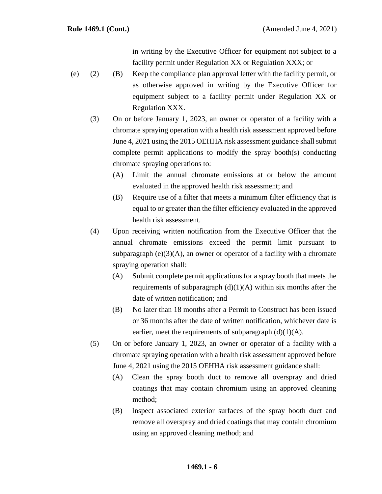in writing by the Executive Officer for equipment not subject to a facility permit under Regulation XX or Regulation XXX; or

- (e) (2) (B) Keep the compliance plan approval letter with the facility permit, or as otherwise approved in writing by the Executive Officer for equipment subject to a facility permit under Regulation XX or Regulation XXX.
	- (3) On or before January 1, 2023, an owner or operator of a facility with a chromate spraying operation with a health risk assessment approved before June 4, 2021 using the 2015 OEHHA risk assessment guidance shall submit complete permit applications to modify the spray booth(s) conducting chromate spraying operations to:
		- (A) Limit the annual chromate emissions at or below the amount evaluated in the approved health risk assessment; and
		- (B) Require use of a filter that meets a minimum filter efficiency that is equal to or greater than the filter efficiency evaluated in the approved health risk assessment.
	- (4) Upon receiving written notification from the Executive Officer that the annual chromate emissions exceed the permit limit pursuant to subparagraph  $(e)(3)(A)$ , an owner or operator of a facility with a chromate spraying operation shall:
		- (A) Submit complete permit applications for a spray booth that meets the requirements of subparagraph  $(d)(1)(A)$  within six months after the date of written notification; and
		- (B) No later than 18 months after a Permit to Construct has been issued or 36 months after the date of written notification, whichever date is earlier, meet the requirements of subparagraph  $(d)(1)(A)$ .
	- (5) On or before January 1, 2023, an owner or operator of a facility with a chromate spraying operation with a health risk assessment approved before June 4, 2021 using the 2015 OEHHA risk assessment guidance shall:
		- (A) Clean the spray booth duct to remove all overspray and dried coatings that may contain chromium using an approved cleaning method;
		- (B) Inspect associated exterior surfaces of the spray booth duct and remove all overspray and dried coatings that may contain chromium using an approved cleaning method; and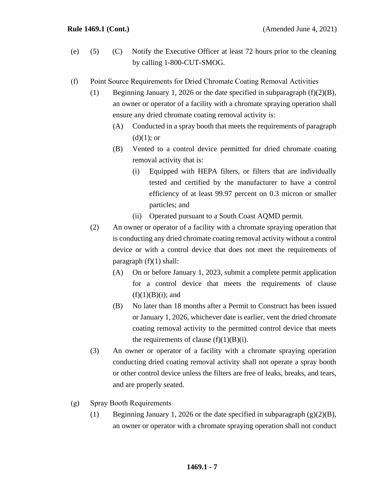- (e) (5) (C) Notify the Executive Officer at least 72 hours prior to the cleaning by calling 1-800-CUT-SMOG.
- (f) Point Source Requirements for Dried Chromate Coating Removal Activities
	- (1) Beginning January 1, 2026 or the date specified in subparagraph (f)(2)(B), an owner or operator of a facility with a chromate spraying operation shall ensure any dried chromate coating removal activity is:
		- (A) Conducted in a spray booth that meets the requirements of paragraph  $(d)(1)$ ; or
		- (B) Vented to a control device permitted for dried chromate coating removal activity that is:
			- (i) Equipped with HEPA filters, or filters that are individually tested and certified by the manufacturer to have a control efficiency of at least 99.97 percent on 0.3 micron or smaller particles; and
			- (ii) Operated pursuant to a South Coast AQMD permit.
	- (2) An owner or operator of a facility with a chromate spraying operation that is conducting any dried chromate coating removal activity without a control device or with a control device that does not meet the requirements of paragraph  $(f)(1)$  shall:
		- (A) On or before January 1, 2023, submit a complete permit application for a control device that meets the requirements of clause  $(f)(1)(B)(i)$ ; and
		- (B) No later than 18 months after a Permit to Construct has been issued or January 1, 2026, whichever date is earlier, vent the dried chromate coating removal activity to the permitted control device that meets the requirements of clause  $(f)(1)(B)(i)$ .
	- (3) An owner or operator of a facility with a chromate spraying operation conducting dried coating removal activity shall not operate a spray booth or other control device unless the filters are free of leaks, breaks, and tears, and are properly seated.
- (g) Spray Booth Requirements
	- (1) Beginning January 1, 2026 or the date specified in subparagraph  $(g)(2)(B)$ , an owner or operator with a chromate spraying operation shall not conduct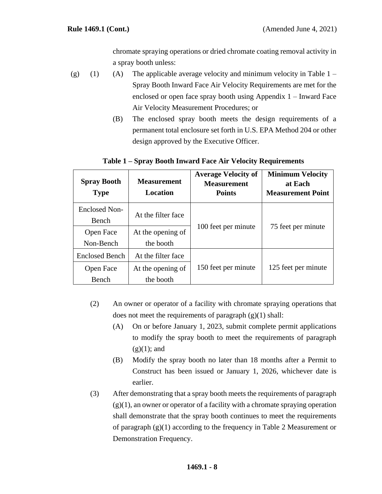chromate spraying operations or dried chromate coating removal activity in a spray booth unless:

- (g) (1) (A) The applicable average velocity and minimum velocity in Table  $1 -$ Spray Booth Inward Face Air Velocity Requirements are met for the enclosed or open face spray booth using Appendix 1 – Inward Face Air Velocity Measurement Procedures; or
	- (B) The enclosed spray booth meets the design requirements of a permanent total enclosure set forth in U.S. EPA Method 204 or other design approved by the Executive Officer.

| <b>Spray Booth</b><br><b>Type</b> | <b>Measurement</b><br>Location | <b>Average Velocity of</b><br><b>Measurement</b><br><b>Points</b> | <b>Minimum Velocity</b><br>at Each<br><b>Measurement Point</b> |
|-----------------------------------|--------------------------------|-------------------------------------------------------------------|----------------------------------------------------------------|
| Enclosed Non-                     | At the filter face             | 100 feet per minute                                               | 75 feet per minute                                             |
| Bench                             |                                |                                                                   |                                                                |
| Open Face                         | At the opening of              |                                                                   |                                                                |
| Non-Bench                         | the booth                      |                                                                   |                                                                |
| <b>Enclosed Bench</b>             | At the filter face             |                                                                   | 125 feet per minute                                            |
| Open Face                         | At the opening of              | 150 feet per minute                                               |                                                                |
| Bench                             | the booth                      |                                                                   |                                                                |

## **Table 1 – Spray Booth Inward Face Air Velocity Requirements**

- (2) An owner or operator of a facility with chromate spraying operations that does not meet the requirements of paragraph  $(g)(1)$  shall:
	- (A) On or before January 1, 2023, submit complete permit applications to modify the spray booth to meet the requirements of paragraph  $(g)(1)$ ; and
	- (B) Modify the spray booth no later than 18 months after a Permit to Construct has been issued or January 1, 2026, whichever date is earlier.
- (3) After demonstrating that a spray booth meets the requirements of paragraph  $(g)(1)$ , an owner or operator of a facility with a chromate spraying operation shall demonstrate that the spray booth continues to meet the requirements of paragraph (g)(1) according to the frequency in Table 2 Measurement or Demonstration Frequency.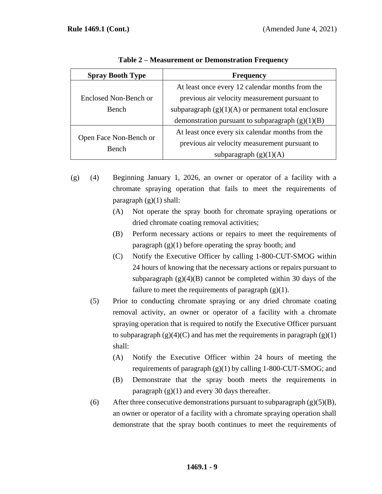| <b>Spray Booth Type</b> | <b>Frequency</b>                                      |  |
|-------------------------|-------------------------------------------------------|--|
|                         | At least once every 12 calendar months from the       |  |
| Enclosed Non-Bench or   | previous air velocity measurement pursuant to         |  |
| Bench                   | subparagraph $(g)(1)(A)$ or permanent total enclosure |  |
|                         | demonstration pursuant to subparagraph $(g)(1)(B)$    |  |
|                         | At least once every six calendar months from the      |  |
| Open Face Non-Bench or  | previous air velocity measurement pursuant to         |  |
| Bench                   | subparagraph $(g)(1)(A)$                              |  |

**Table 2 – Measurement or Demonstration Frequency** 

- (g) (4) Beginning January 1, 2026, an owner or operator of a facility with a chromate spraying operation that fails to meet the requirements of paragraph  $(g)(1)$  shall:
	- (A) Not operate the spray booth for chromate spraying operations or dried chromate coating removal activities;
	- (B) Perform necessary actions or repairs to meet the requirements of paragraph  $(g)(1)$  before operating the spray booth; and
	- (C) Notify the Executive Officer by calling 1-800-CUT-SMOG within 24 hours of knowing that the necessary actions or repairs pursuant to subparagraph  $(g)(4)(B)$  cannot be completed within 30 days of the failure to meet the requirements of paragraph  $(g)(1)$ .
	- (5) Prior to conducting chromate spraying or any dried chromate coating removal activity, an owner or operator of a facility with a chromate spraying operation that is required to notify the Executive Officer pursuant to subparagraph  $(g)(4)(C)$  and has met the requirements in paragraph  $(g)(1)$ shall:
		- (A) Notify the Executive Officer within 24 hours of meeting the requirements of paragraph  $(g)(1)$  by calling 1-800-CUT-SMOG; and
		- (B) Demonstrate that the spray booth meets the requirements in paragraph  $(g)(1)$  and every 30 days thereafter.
	- (6) After three consecutive demonstrations pursuant to subparagraph  $(g)(5)(B)$ , an owner or operator of a facility with a chromate spraying operation shall demonstrate that the spray booth continues to meet the requirements of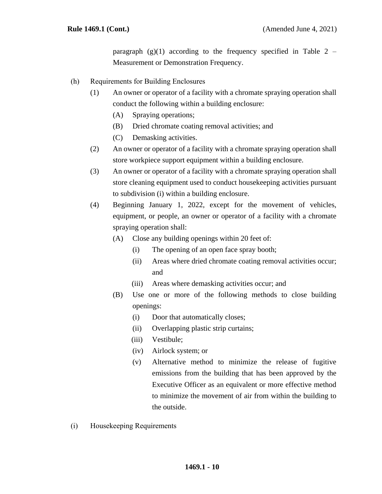paragraph  $(g)(1)$  according to the frequency specified in Table 2 – Measurement or Demonstration Frequency.

- (h) Requirements for Building Enclosures
	- (1) An owner or operator of a facility with a chromate spraying operation shall conduct the following within a building enclosure:
		- (A) Spraying operations;
		- (B) Dried chromate coating removal activities; and
		- (C) Demasking activities.
	- (2) An owner or operator of a facility with a chromate spraying operation shall store workpiece support equipment within a building enclosure.
	- (3) An owner or operator of a facility with a chromate spraying operation shall store cleaning equipment used to conduct housekeeping activities pursuant to subdivision (i) within a building enclosure.
	- (4) Beginning January 1, 2022, except for the movement of vehicles, equipment, or people, an owner or operator of a facility with a chromate spraying operation shall:
		- (A) Close any building openings within 20 feet of:
			- (i) The opening of an open face spray booth;
			- (ii) Areas where dried chromate coating removal activities occur; and
			- (iii) Areas where demasking activities occur; and
		- (B) Use one or more of the following methods to close building openings:
			- (i) Door that automatically closes;
			- (ii) Overlapping plastic strip curtains;
			- (iii) Vestibule;
			- (iv) Airlock system; or
			- (v) Alternative method to minimize the release of fugitive emissions from the building that has been approved by the Executive Officer as an equivalent or more effective method to minimize the movement of air from within the building to the outside.
- (i) Housekeeping Requirements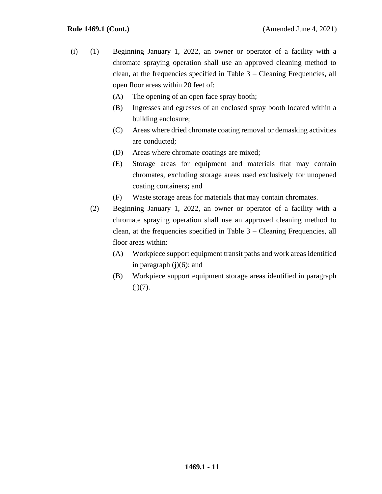- (i) (1) Beginning January 1, 2022, an owner or operator of a facility with a chromate spraying operation shall use an approved cleaning method to clean, at the frequencies specified in Table 3 – Cleaning Frequencies, all open floor areas within 20 feet of:
	- (A) The opening of an open face spray booth;
	- (B) Ingresses and egresses of an enclosed spray booth located within a building enclosure;
	- (C) Areas where dried chromate coating removal or demasking activities are conducted;
	- (D) Areas where chromate coatings are mixed;
	- (E) Storage areas for equipment and materials that may contain chromates, excluding storage areas used exclusively for unopened coating containers**;** and
	- (F) Waste storage areas for materials that may contain chromates.
	- (2) Beginning January 1, 2022, an owner or operator of a facility with a chromate spraying operation shall use an approved cleaning method to clean, at the frequencies specified in Table 3 – Cleaning Frequencies, all floor areas within:
		- (A) Workpiece support equipment transit paths and work areas identified in paragraph  $(j)(6)$ ; and
		- (B) Workpiece support equipment storage areas identified in paragraph  $(i)(7)$ .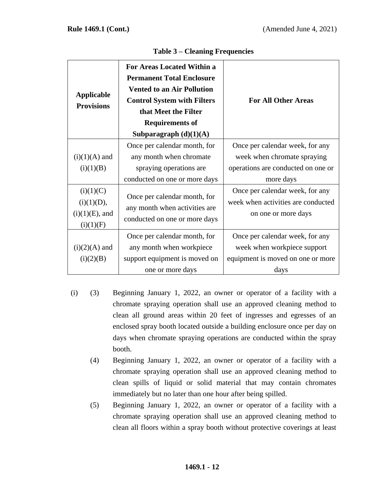| <b>Applicable</b><br><b>Provisions</b>                    | <b>For Areas Located Within a</b><br><b>Permanent Total Enclosure</b><br><b>Vented to an Air Pollution</b><br><b>Control System with Filters</b><br>that Meet the Filter<br><b>Requirements of</b><br>Subparagraph $(d)(1)(A)$ | <b>For All Other Areas</b>                                                                                        |
|-----------------------------------------------------------|--------------------------------------------------------------------------------------------------------------------------------------------------------------------------------------------------------------------------------|-------------------------------------------------------------------------------------------------------------------|
| $(i)(1)(A)$ and<br>(i)(1)(B)                              | Once per calendar month, for<br>any month when chromate<br>spraying operations are<br>conducted on one or more days                                                                                                            | Once per calendar week, for any<br>week when chromate spraying<br>operations are conducted on one or<br>more days |
| (i)(1)(C)<br>(i)(1)(D),<br>$(i)(1)(E)$ , and<br>(i)(1)(F) | Once per calendar month, for<br>any month when activities are<br>conducted on one or more days                                                                                                                                 | Once per calendar week, for any<br>week when activities are conducted<br>on one or more days                      |
| $(i)(2)(A)$ and<br>(i)(2)(B)                              | Once per calendar month, for<br>any month when workpiece<br>support equipment is moved on<br>one or more days                                                                                                                  | Once per calendar week, for any<br>week when workpiece support<br>equipment is moved on one or more<br>days       |

## **Table 3 – Cleaning Frequencies**

- (i) (3) Beginning January 1, 2022, an owner or operator of a facility with a chromate spraying operation shall use an approved cleaning method to clean all ground areas within 20 feet of ingresses and egresses of an enclosed spray booth located outside a building enclosure once per day on days when chromate spraying operations are conducted within the spray booth.
	- (4) Beginning January 1, 2022, an owner or operator of a facility with a chromate spraying operation shall use an approved cleaning method to clean spills of liquid or solid material that may contain chromates immediately but no later than one hour after being spilled.
	- (5) Beginning January 1, 2022, an owner or operator of a facility with a chromate spraying operation shall use an approved cleaning method to clean all floors within a spray booth without protective coverings at least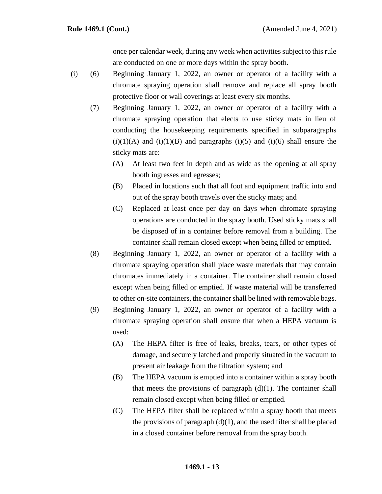once per calendar week, during any week when activities subject to this rule are conducted on one or more days within the spray booth.

- (i) (6) Beginning January 1, 2022, an owner or operator of a facility with a chromate spraying operation shall remove and replace all spray booth protective floor or wall coverings at least every six months.
	- (7) Beginning January 1, 2022, an owner or operator of a facility with a chromate spraying operation that elects to use sticky mats in lieu of conducting the housekeeping requirements specified in subparagraphs  $(i)(1)(A)$  and  $(i)(1)(B)$  and paragraphs  $(i)(5)$  and  $(i)(6)$  shall ensure the sticky mats are:
		- (A) At least two feet in depth and as wide as the opening at all spray booth ingresses and egresses;
		- (B) Placed in locations such that all foot and equipment traffic into and out of the spray booth travels over the sticky mats; and
		- (C) Replaced at least once per day on days when chromate spraying operations are conducted in the spray booth. Used sticky mats shall be disposed of in a container before removal from a building. The container shall remain closed except when being filled or emptied.
	- (8) Beginning January 1, 2022, an owner or operator of a facility with a chromate spraying operation shall place waste materials that may contain chromates immediately in a container. The container shall remain closed except when being filled or emptied. If waste material will be transferred to other on-site containers, the container shall be lined with removable bags.
	- (9) Beginning January 1, 2022, an owner or operator of a facility with a chromate spraying operation shall ensure that when a HEPA vacuum is used:
		- (A) The HEPA filter is free of leaks, breaks, tears, or other types of damage, and securely latched and properly situated in the vacuum to prevent air leakage from the filtration system; and
		- (B) The HEPA vacuum is emptied into a container within a spray booth that meets the provisions of paragraph  $(d)(1)$ . The container shall remain closed except when being filled or emptied.
		- (C) The HEPA filter shall be replaced within a spray booth that meets the provisions of paragraph  $(d)(1)$ , and the used filter shall be placed in a closed container before removal from the spray booth.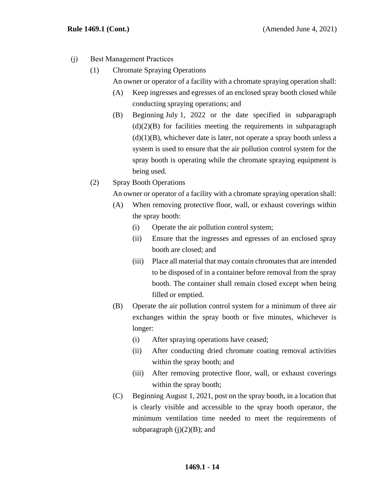- (j) Best Management Practices
	- (1) Chromate Spraying Operations

An owner or operator of a facility with a chromate spraying operation shall:

- (A) Keep ingresses and egresses of an enclosed spray booth closed while conducting spraying operations; and
- (B) Beginning July 1, 2022 or the date specified in subparagraph  $(d)(2)(B)$  for facilities meeting the requirements in subparagraph  $(d)(1)(B)$ , whichever date is later, not operate a spray booth unless a system is used to ensure that the air pollution control system for the spray booth is operating while the chromate spraying equipment is being used.
- (2) Spray Booth Operations

An owner or operator of a facility with a chromate spraying operation shall:

- (A) When removing protective floor, wall, or exhaust coverings within the spray booth:
	- (i) Operate the air pollution control system;
	- (ii) Ensure that the ingresses and egresses of an enclosed spray booth are closed; and
	- (iii) Place all material that may contain chromates that are intended to be disposed of in a container before removal from the spray booth. The container shall remain closed except when being filled or emptied.
- (B) Operate the air pollution control system for a minimum of three air exchanges within the spray booth or five minutes, whichever is longer:
	- (i) After spraying operations have ceased;
	- (ii) After conducting dried chromate coating removal activities within the spray booth; and
	- (iii) After removing protective floor, wall, or exhaust coverings within the spray booth;
- (C) Beginning August 1, 2021, post on the spray booth, in a location that is clearly visible and accessible to the spray booth operator, the minimum ventilation time needed to meet the requirements of subparagraph  $(j)(2)(B)$ ; and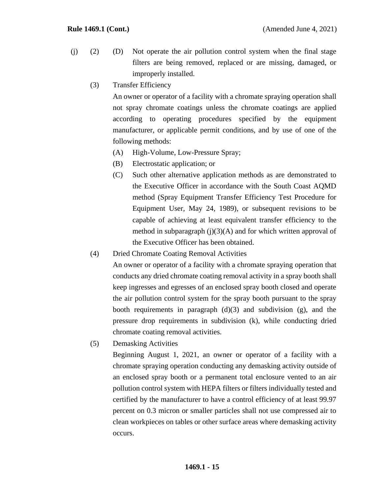- (j) (2) (D) Not operate the air pollution control system when the final stage filters are being removed, replaced or are missing, damaged, or improperly installed.
	- (3) Transfer Efficiency

An owner or operator of a facility with a chromate spraying operation shall not spray chromate coatings unless the chromate coatings are applied according to operating procedures specified by the equipment manufacturer, or applicable permit conditions, and by use of one of the following methods:

- (A) High-Volume, Low-Pressure Spray;
- (B) Electrostatic application; or
- (C) Such other alternative application methods as are demonstrated to the Executive Officer in accordance with the South Coast AQMD method (Spray Equipment Transfer Efficiency Test Procedure for Equipment User, May 24, 1989), or subsequent revisions to be capable of achieving at least equivalent transfer efficiency to the method in subparagraph (j)(3)(A) and for which written approval of the Executive Officer has been obtained.
- (4) Dried Chromate Coating Removal Activities

An owner or operator of a facility with a chromate spraying operation that conducts any dried chromate coating removal activity in a spray booth shall keep ingresses and egresses of an enclosed spray booth closed and operate the air pollution control system for the spray booth pursuant to the spray booth requirements in paragraph  $(d)(3)$  and subdivision  $(g)$ , and the pressure drop requirements in subdivision (k), while conducting dried chromate coating removal activities.

(5) Demasking Activities

Beginning August 1, 2021, an owner or operator of a facility with a chromate spraying operation conducting any demasking activity outside of an enclosed spray booth or a permanent total enclosure vented to an air pollution control system with HEPA filters or filters individually tested and certified by the manufacturer to have a control efficiency of at least 99.97 percent on 0.3 micron or smaller particles shall not use compressed air to clean workpieces on tables or other surface areas where demasking activity occurs.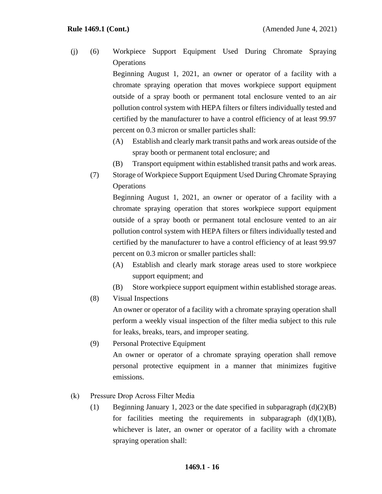(j) (6) Workpiece Support Equipment Used During Chromate Spraying **Operations** 

> Beginning August 1, 2021, an owner or operator of a facility with a chromate spraying operation that moves workpiece support equipment outside of a spray booth or permanent total enclosure vented to an air pollution control system with HEPA filters or filters individually tested and certified by the manufacturer to have a control efficiency of at least 99.97 percent on 0.3 micron or smaller particles shall:

- (A) Establish and clearly mark transit paths and work areas outside of the spray booth or permanent total enclosure; and
- (B) Transport equipment within established transit paths and work areas.
- (7) Storage of Workpiece Support Equipment Used During Chromate Spraying **Operations**

Beginning August 1, 2021, an owner or operator of a facility with a chromate spraying operation that stores workpiece support equipment outside of a spray booth or permanent total enclosure vented to an air pollution control system with HEPA filters or filters individually tested and certified by the manufacturer to have a control efficiency of at least 99.97 percent on 0.3 micron or smaller particles shall:

- (A) Establish and clearly mark storage areas used to store workpiece support equipment; and
- (B) Store workpiece support equipment within established storage areas.
- (8) Visual Inspections

An owner or operator of a facility with a chromate spraying operation shall perform a weekly visual inspection of the filter media subject to this rule for leaks, breaks, tears, and improper seating.

- (9) Personal Protective Equipment An owner or operator of a chromate spraying operation shall remove personal protective equipment in a manner that minimizes fugitive emissions.
- (k) Pressure Drop Across Filter Media
	- (1) Beginning January 1, 2023 or the date specified in subparagraph  $(d)(2)(B)$ for facilities meeting the requirements in subparagraph  $(d)(1)(B)$ , whichever is later, an owner or operator of a facility with a chromate spraying operation shall: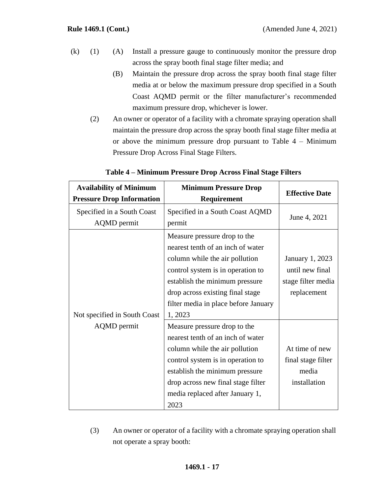- (k) (1) (A) Install a pressure gauge to continuously monitor the pressure drop across the spray booth final stage filter media; and
	- (B) Maintain the pressure drop across the spray booth final stage filter media at or below the maximum pressure drop specified in a South Coast AQMD permit or the filter manufacturer's recommended maximum pressure drop, whichever is lower.
	- (2) An owner or operator of a facility with a chromate spraying operation shall maintain the pressure drop across the spray booth final stage filter media at or above the minimum pressure drop pursuant to Table 4 – Minimum Pressure Drop Across Final Stage Filters.

| <b>Availability of Minimum</b><br><b>Pressure Drop Information</b> | <b>Minimum Pressure Drop</b><br>Requirement                                                                                                                                                                                                                       | <b>Effective Date</b>                                                   |
|--------------------------------------------------------------------|-------------------------------------------------------------------------------------------------------------------------------------------------------------------------------------------------------------------------------------------------------------------|-------------------------------------------------------------------------|
| Specified in a South Coast<br><b>AQMD</b> permit                   | Specified in a South Coast AQMD<br>permit                                                                                                                                                                                                                         | June 4, 2021                                                            |
| Not specified in South Coast                                       | Measure pressure drop to the<br>nearest tenth of an inch of water<br>column while the air pollution<br>control system is in operation to<br>establish the minimum pressure<br>drop across existing final stage<br>filter media in place before January<br>1, 2023 | January 1, 2023<br>until new final<br>stage filter media<br>replacement |
| <b>AQMD</b> permit                                                 | Measure pressure drop to the<br>nearest tenth of an inch of water<br>column while the air pollution<br>control system is in operation to<br>establish the minimum pressure<br>drop across new final stage filter<br>media replaced after January 1,<br>2023       | At time of new<br>final stage filter<br>media<br>installation           |

# **Table 4 – Minimum Pressure Drop Across Final Stage Filters**

(3) An owner or operator of a facility with a chromate spraying operation shall not operate a spray booth: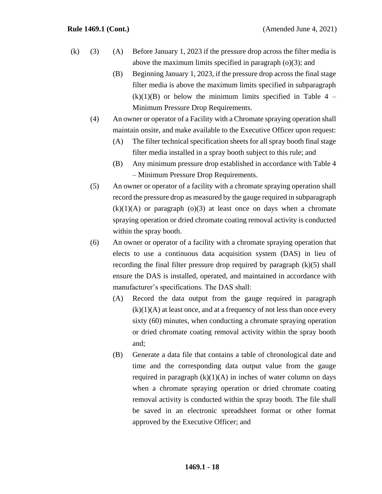- (k) (3) (A) Before January 1, 2023 if the pressure drop across the filter media is above the maximum limits specified in paragraph (o)(3); and
	- (B) Beginning January 1, 2023, if the pressure drop across the final stage filter media is above the maximum limits specified in subparagraph  $(k)(1)(B)$  or below the minimum limits specified in Table 4 – Minimum Pressure Drop Requirements.
	- (4) An owner or operator of a Facility with a Chromate spraying operation shall maintain onsite, and make available to the Executive Officer upon request:
		- (A) The filter technical specification sheets for all spray booth final stage filter media installed in a spray booth subject to this rule; and
		- (B) Any minimum pressure drop established in accordance with Table 4 – Minimum Pressure Drop Requirements.
	- (5) An owner or operator of a facility with a chromate spraying operation shall record the pressure drop as measured by the gauge required in subparagraph  $(k)(1)(A)$  or paragraph  $(o)(3)$  at least once on days when a chromate spraying operation or dried chromate coating removal activity is conducted within the spray booth.
	- (6) An owner or operator of a facility with a chromate spraying operation that elects to use a continuous data acquisition system (DAS) in lieu of recording the final filter pressure drop required by paragraph (k)(5) shall ensure the DAS is installed, operated, and maintained in accordance with manufacturer's specifications. The DAS shall:
		- (A) Record the data output from the gauge required in paragraph  $(k)(1)(A)$  at least once, and at a frequency of not less than once every sixty (60) minutes, when conducting a chromate spraying operation or dried chromate coating removal activity within the spray booth and;
		- (B) Generate a data file that contains a table of chronological date and time and the corresponding data output value from the gauge required in paragraph  $(k)(1)(A)$  in inches of water column on days when a chromate spraying operation or dried chromate coating removal activity is conducted within the spray booth. The file shall be saved in an electronic spreadsheet format or other format approved by the Executive Officer; and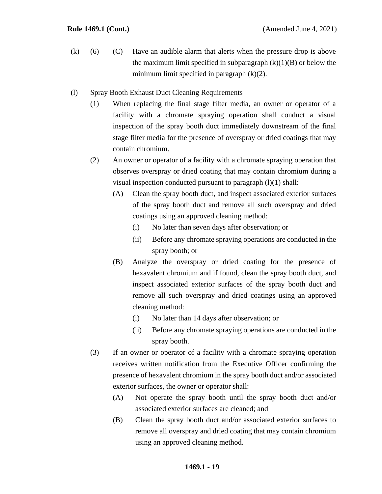- (k) (6) (C) Have an audible alarm that alerts when the pressure drop is above the maximum limit specified in subparagraph  $(k)(1)(B)$  or below the minimum limit specified in paragraph  $(k)(2)$ .
- (l) Spray Booth Exhaust Duct Cleaning Requirements
	- (1) When replacing the final stage filter media, an owner or operator of a facility with a chromate spraying operation shall conduct a visual inspection of the spray booth duct immediately downstream of the final stage filter media for the presence of overspray or dried coatings that may contain chromium.
	- (2) An owner or operator of a facility with a chromate spraying operation that observes overspray or dried coating that may contain chromium during a visual inspection conducted pursuant to paragraph  $(l)(1)$  shall:
		- (A) Clean the spray booth duct, and inspect associated exterior surfaces of the spray booth duct and remove all such overspray and dried coatings using an approved cleaning method:
			- (i) No later than seven days after observation; or
			- (ii) Before any chromate spraying operations are conducted in the spray booth; or
		- (B) Analyze the overspray or dried coating for the presence of hexavalent chromium and if found, clean the spray booth duct, and inspect associated exterior surfaces of the spray booth duct and remove all such overspray and dried coatings using an approved cleaning method:
			- (i) No later than 14 days after observation; or
			- (ii) Before any chromate spraying operations are conducted in the spray booth.
	- (3) If an owner or operator of a facility with a chromate spraying operation receives written notification from the Executive Officer confirming the presence of hexavalent chromium in the spray booth duct and/or associated exterior surfaces, the owner or operator shall:
		- (A) Not operate the spray booth until the spray booth duct and/or associated exterior surfaces are cleaned; and
		- (B) Clean the spray booth duct and/or associated exterior surfaces to remove all overspray and dried coating that may contain chromium using an approved cleaning method.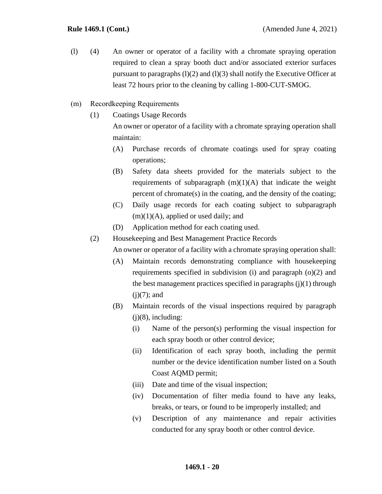- (l) (4) An owner or operator of a facility with a chromate spraying operation required to clean a spray booth duct and/or associated exterior surfaces pursuant to paragraphs  $(l)(2)$  and  $(l)(3)$  shall notify the Executive Officer at least 72 hours prior to the cleaning by calling 1-800-CUT-SMOG.
- (m) Recordkeeping Requirements
	- (1) Coatings Usage Records

An owner or operator of a facility with a chromate spraying operation shall maintain:

- (A) Purchase records of chromate coatings used for spray coating operations;
- (B) Safety data sheets provided for the materials subject to the requirements of subparagraph  $(m)(1)(A)$  that indicate the weight percent of chromate(s) in the coating, and the density of the coating;
- (C) Daily usage records for each coating subject to subparagraph  $(m)(1)(A)$ , applied or used daily; and
- (D) Application method for each coating used.
- (2) Housekeeping and Best Management Practice Records

An owner or operator of a facility with a chromate spraying operation shall:

- (A) Maintain records demonstrating compliance with housekeeping requirements specified in subdivision (i) and paragraph (o)(2) and the best management practices specified in paragraphs  $(i)(1)$  through  $(i)(7)$ ; and
- (B) Maintain records of the visual inspections required by paragraph  $(i)(8)$ , including:
	- (i) Name of the person(s) performing the visual inspection for each spray booth or other control device;
	- (ii) Identification of each spray booth, including the permit number or the device identification number listed on a South Coast AQMD permit;
	- (iii) Date and time of the visual inspection;
	- (iv) Documentation of filter media found to have any leaks, breaks, or tears, or found to be improperly installed; and
	- (v) Description of any maintenance and repair activities conducted for any spray booth or other control device.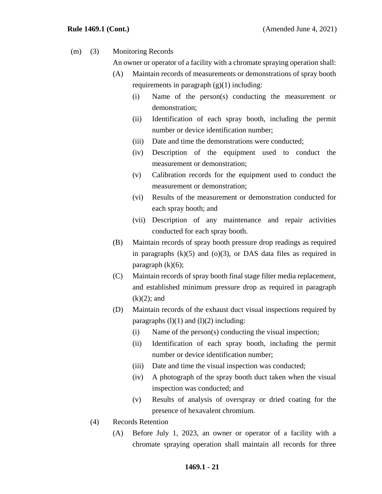(m) (3) Monitoring Records

An owner or operator of a facility with a chromate spraying operation shall:

- (A) Maintain records of measurements or demonstrations of spray booth requirements in paragraph  $(g)(1)$  including:
	- (i) Name of the person(s) conducting the measurement or demonstration;
	- (ii) Identification of each spray booth, including the permit number or device identification number;
	- (iii) Date and time the demonstrations were conducted;
	- (iv) Description of the equipment used to conduct the measurement or demonstration;
	- (v) Calibration records for the equipment used to conduct the measurement or demonstration;
	- (vi) Results of the measurement or demonstration conducted for each spray booth; and
	- (vii) Description of any maintenance and repair activities conducted for each spray booth.
- (B) Maintain records of spray booth pressure drop readings as required in paragraphs  $(k)(5)$  and  $(o)(3)$ , or DAS data files as required in paragraph  $(k)(6)$ ;
- (C) Maintain records of spray booth final stage filter media replacement, and established minimum pressure drop as required in paragraph  $(k)(2)$ ; and
- (D) Maintain records of the exhaust duct visual inspections required by paragraphs  $(l)(1)$  and  $(l)(2)$  including:
	- (i) Name of the person(s) conducting the visual inspection;
	- (ii) Identification of each spray booth, including the permit number or device identification number;
	- (iii) Date and time the visual inspection was conducted;
	- (iv) A photograph of the spray booth duct taken when the visual inspection was conducted; and
	- (v) Results of analysis of overspray or dried coating for the presence of hexavalent chromium.
- (4) Records Retention
	- (A) Before July 1, 2023, an owner or operator of a facility with a chromate spraying operation shall maintain all records for three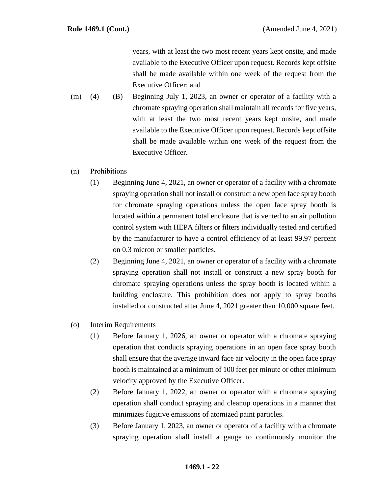years, with at least the two most recent years kept onsite, and made available to the Executive Officer upon request. Records kept offsite shall be made available within one week of the request from the Executive Officer; and

- (m) (4) (B) Beginning July 1, 2023, an owner or operator of a facility with a chromate spraying operation shall maintain all records for five years, with at least the two most recent years kept onsite, and made available to the Executive Officer upon request. Records kept offsite shall be made available within one week of the request from the Executive Officer.
- (n) Prohibitions
	- (1) Beginning June 4, 2021, an owner or operator of a facility with a chromate spraying operation shall not install or construct a new open face spray booth for chromate spraying operations unless the open face spray booth is located within a permanent total enclosure that is vented to an air pollution control system with HEPA filters or filters individually tested and certified by the manufacturer to have a control efficiency of at least 99.97 percent on 0.3 micron or smaller particles.
	- (2) Beginning June 4, 2021, an owner or operator of a facility with a chromate spraying operation shall not install or construct a new spray booth for chromate spraying operations unless the spray booth is located within a building enclosure. This prohibition does not apply to spray booths installed or constructed after June 4, 2021 greater than 10,000 square feet.
- (o) Interim Requirements
	- (1) Before January 1, 2026, an owner or operator with a chromate spraying operation that conducts spraying operations in an open face spray booth shall ensure that the average inward face air velocity in the open face spray booth is maintained at a minimum of 100 feet per minute or other minimum velocity approved by the Executive Officer.
	- (2) Before January 1, 2022, an owner or operator with a chromate spraying operation shall conduct spraying and cleanup operations in a manner that minimizes fugitive emissions of atomized paint particles.
	- (3) Before January 1, 2023, an owner or operator of a facility with a chromate spraying operation shall install a gauge to continuously monitor the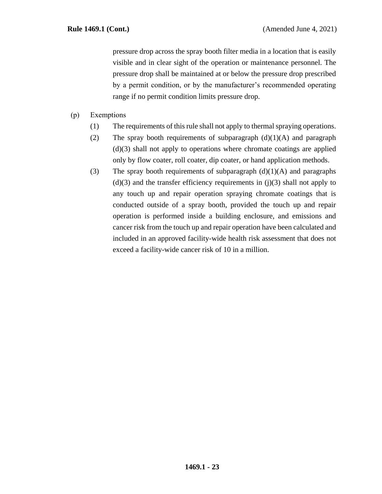pressure drop across the spray booth filter media in a location that is easily visible and in clear sight of the operation or maintenance personnel. The pressure drop shall be maintained at or below the pressure drop prescribed by a permit condition, or by the manufacturer's recommended operating range if no permit condition limits pressure drop.

- (p) Exemptions
	- (1) The requirements of this rule shall not apply to thermal spraying operations.
	- (2) The spray booth requirements of subparagraph  $(d)(1)(A)$  and paragraph (d)(3) shall not apply to operations where chromate coatings are applied only by flow coater, roll coater, dip coater, or hand application methods.
	- (3) The spray booth requirements of subparagraph  $(d)(1)(A)$  and paragraphs  $(d)(3)$  and the transfer efficiency requirements in  $(i)(3)$  shall not apply to any touch up and repair operation spraying chromate coatings that is conducted outside of a spray booth, provided the touch up and repair operation is performed inside a building enclosure, and emissions and cancer risk from the touch up and repair operation have been calculated and included in an approved facility-wide health risk assessment that does not exceed a facility-wide cancer risk of 10 in a million.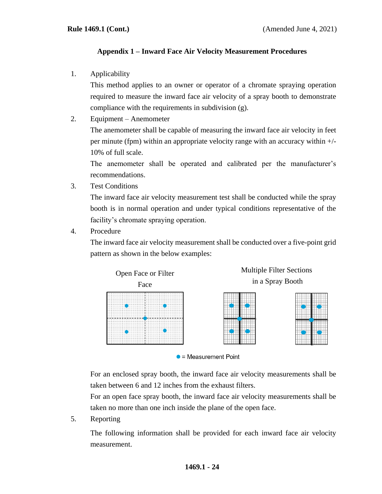# **Appendix 1 – Inward Face Air Velocity Measurement Procedures**

1. Applicability

This method applies to an owner or operator of a chromate spraying operation required to measure the inward face air velocity of a spray booth to demonstrate compliance with the requirements in subdivision (g).

2. Equipment – Anemometer

The anemometer shall be capable of measuring the inward face air velocity in feet per minute (fpm) within an appropriate velocity range with an accuracy within +/- 10% of full scale.

The anemometer shall be operated and calibrated per the manufacturer's recommendations.

3. Test Conditions

The inward face air velocity measurement test shall be conducted while the spray booth is in normal operation and under typical conditions representative of the facility's chromate spraying operation.

4. Procedure

The inward face air velocity measurement shall be conducted over a five-point grid pattern as shown in the below examples:





For an enclosed spray booth, the inward face air velocity measurements shall be taken between 6 and 12 inches from the exhaust filters.

For an open face spray booth, the inward face air velocity measurements shall be taken no more than one inch inside the plane of the open face.

5. Reporting

The following information shall be provided for each inward face air velocity measurement.